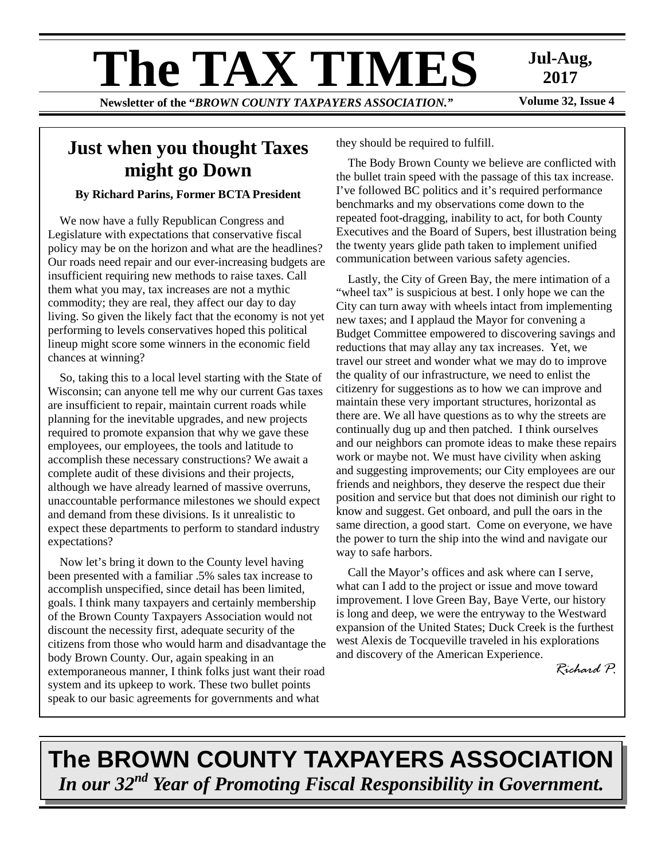# **The TAX TIMES** Jul-Aug,<br>Newsletter of the "RROWN COUNTY TAXPAYERS ASSOCIATION"

**Newsletter of the "BROWN COUNTY TAXPAYERS ASSOCIATION."** 

**2017** 

## **Just when you thought Taxes might go Down**

## **By Richard Parins, Former BCTA President**

We now have a fully Republican Congress and Legislature with expectations that conservative fiscal policy may be on the horizon and what are the headlines? Our roads need repair and our ever-increasing budgets are insufficient requiring new methods to raise taxes. Call them what you may, tax increases are not a mythic commodity; they are real, they affect our day to day living. So given the likely fact that the economy is not yet performing to levels conservatives hoped this political lineup might score some winners in the economic field chances at winning?

So, taking this to a local level starting with the State of Wisconsin; can anyone tell me why our current Gas taxes are insufficient to repair, maintain current roads while planning for the inevitable upgrades, and new projects required to promote expansion that why we gave these employees, our employees, the tools and latitude to accomplish these necessary constructions? We await a complete audit of these divisions and their projects, although we have already learned of massive overruns, unaccountable performance milestones we should expect and demand from these divisions. Is it unrealistic to expect these departments to perform to standard industry expectations?

Now let's bring it down to the County level having been presented with a familiar .5% sales tax increase to accomplish unspecified, since detail has been limited, goals. I think many taxpayers and certainly membership of the Brown County Taxpayers Association would not discount the necessity first, adequate security of the citizens from those who would harm and disadvantage the body Brown County. Our, again speaking in an extemporaneous manner, I think folks just want their road system and its upkeep to work. These two bullet points speak to our basic agreements for governments and what

they should be required to fulfill.

The Body Brown County we believe are conflicted with the bullet train speed with the passage of this tax increase. I've followed BC politics and it's required performance benchmarks and my observations come down to the repeated foot-dragging, inability to act, for both County Executives and the Board of Supers, best illustration being the twenty years glide path taken to implement unified communication between various safety agencies.

Lastly, the City of Green Bay, the mere intimation of a "wheel tax" is suspicious at best. I only hope we can the City can turn away with wheels intact from implementing new taxes; and I applaud the Mayor for convening a Budget Committee empowered to discovering savings and reductions that may allay any tax increases. Yet, we travel our street and wonder what we may do to improve the quality of our infrastructure, we need to enlist the citizenry for suggestions as to how we can improve and maintain these very important structures, horizontal as there are. We all have questions as to why the streets are continually dug up and then patched. I think ourselves and our neighbors can promote ideas to make these repairs work or maybe not. We must have civility when asking and suggesting improvements; our City employees are our friends and neighbors, they deserve the respect due their position and service but that does not diminish our right to know and suggest. Get onboard, and pull the oars in the same direction, a good start. Come on everyone, we have the power to turn the ship into the wind and navigate our way to safe harbors.

Call the Mayor's offices and ask where can I serve, what can I add to the project or issue and move toward improvement. I love Green Bay, Baye Verte, our history is long and deep, we were the entryway to the Westward expansion of the United States; Duck Creek is the furthest west Alexis de Tocqueville traveled in his explorations and discovery of the American Experience.

*Richard P.* 

# **The BROWN COUNTY TAXPAYERS ASSOCIATION**  *In our 32nd Year of Promoting Fiscal Responsibility in Government.*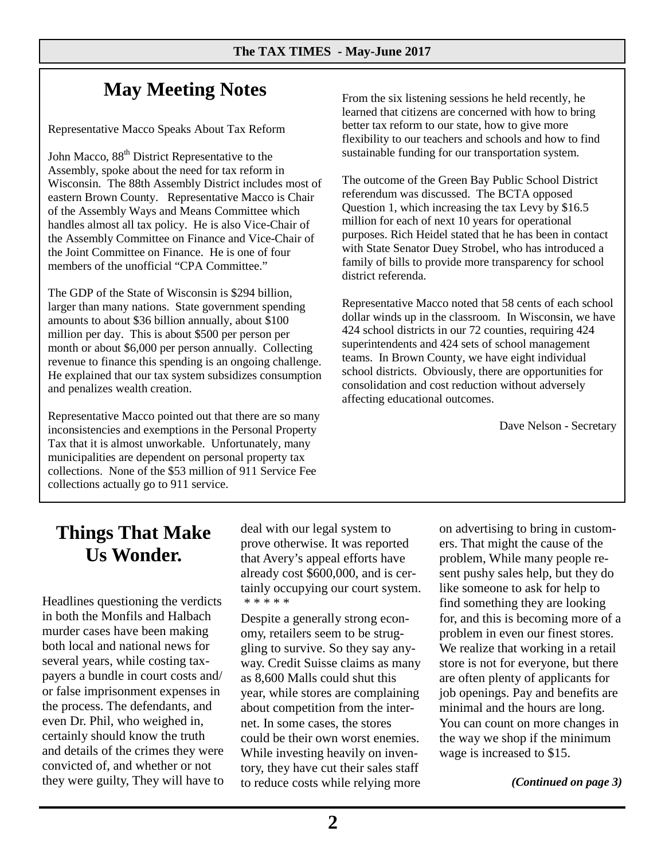# **May Meeting Notes**

Representative Macco Speaks About Tax Reform

John Macco,  $88<sup>th</sup>$  District Representative to the Assembly, spoke about the need for tax reform in Wisconsin*.* The 88th Assembly District includes most of eastern Brown County. Representative Macco is Chair of the Assembly Ways and Means Committee which handles almost all tax policy. He is also Vice-Chair of the Assembly Committee on Finance and Vice-Chair of the Joint Committee on Finance. He is one of four members of the unofficial "CPA Committee."

The GDP of the State of Wisconsin is \$294 billion, larger than many nations. State government spending amounts to about \$36 billion annually, about \$100 million per day. This is about \$500 per person per month or about \$6,000 per person annually. Collecting revenue to finance this spending is an ongoing challenge. He explained that our tax system subsidizes consumption and penalizes wealth creation.

Representative Macco pointed out that there are so many inconsistencies and exemptions in the Personal Property Tax that it is almost unworkable. Unfortunately, many municipalities are dependent on personal property tax collections. None of the \$53 million of 911 Service Fee collections actually go to 911 service.

From the six listening sessions he held recently, he learned that citizens are concerned with how to bring better tax reform to our state, how to give more flexibility to our teachers and schools and how to find sustainable funding for our transportation system.

The outcome of the Green Bay Public School District referendum was discussed. The BCTA opposed Question 1, which increasing the tax Levy by \$16.5 million for each of next 10 years for operational purposes. Rich Heidel stated that he has been in contact with State Senator Duey Strobel, who has introduced a family of bills to provide more transparency for school district referenda.

Representative Macco noted that 58 cents of each school dollar winds up in the classroom. In Wisconsin, we have 424 school districts in our 72 counties, requiring 424 superintendents and 424 sets of school management teams. In Brown County, we have eight individual school districts. Obviously, there are opportunities for consolidation and cost reduction without adversely affecting educational outcomes.

Dave Nelson - Secretary

## **Things That Make Us Wonder.**

Headlines questioning the verdicts in both the Monfils and Halbach murder cases have been making both local and national news for several years, while costing taxpayers a bundle in court costs and/ or false imprisonment expenses in the process. The defendants, and even Dr. Phil, who weighed in, certainly should know the truth and details of the crimes they were convicted of, and whether or not they were guilty, They will have to deal with our legal system to prove otherwise. It was reported that Avery's appeal efforts have already cost \$600,000, and is certainly occupying our court system. \* \* \* \* \*

Despite a generally strong economy, retailers seem to be struggling to survive. So they say anyway. Credit Suisse claims as many as 8,600 Malls could shut this year, while stores are complaining about competition from the internet. In some cases, the stores could be their own worst enemies. While investing heavily on inventory, they have cut their sales staff to reduce costs while relying more on advertising to bring in customers. That might the cause of the problem, While many people resent pushy sales help, but they do like someone to ask for help to find something they are looking for, and this is becoming more of a problem in even our finest stores. We realize that working in a retail store is not for everyone, but there are often plenty of applicants for job openings. Pay and benefits are minimal and the hours are long. You can count on more changes in the way we shop if the minimum wage is increased to \$15.

*(Continued on page 3)*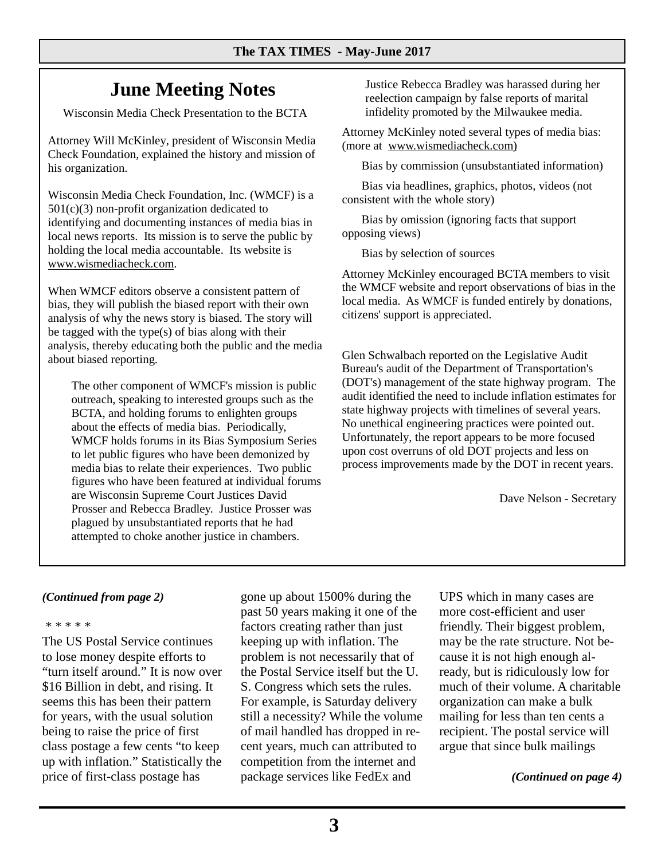# **June Meeting Notes**

Wisconsin Media Check Presentation to the BCTA

Attorney Will McKinley, president of Wisconsin Media Check Foundation, explained the history and mission of his organization.

Wisconsin Media Check Foundation, Inc. (WMCF) is a 501(c)(3) non-profit organization dedicated to identifying and documenting instances of media bias in local news reports. Its mission is to serve the public by holding the local media accountable. Its website is www.wismediacheck.com.

When WMCF editors observe a consistent pattern of bias, they will publish the biased report with their own analysis of why the news story is biased. The story will be tagged with the type(s) of bias along with their analysis, thereby educating both the public and the media about biased reporting.

 The other component of WMCF's mission is public outreach, speaking to interested groups such as the BCTA, and holding forums to enlighten groups about the effects of media bias. Periodically, WMCF holds forums in its Bias Symposium Series to let public figures who have been demonized by media bias to relate their experiences. Two public figures who have been featured at individual forums are Wisconsin Supreme Court Justices David Prosser and Rebecca Bradley. Justice Prosser was plagued by unsubstantiated reports that he had attempted to choke another justice in chambers.

Justice Rebecca Bradley was harassed during her reelection campaign by false reports of marital infidelity promoted by the Milwaukee media.

Attorney McKinley noted several types of media bias: (more at www.wismediacheck.com)

Bias by commission (unsubstantiated information)

 Bias via headlines, graphics, photos, videos (not consistent with the whole story)

 Bias by omission (ignoring facts that support opposing views)

Bias by selection of sources

Attorney McKinley encouraged BCTA members to visit the WMCF website and report observations of bias in the local media. As WMCF is funded entirely by donations, citizens' support is appreciated.

Glen Schwalbach reported on the Legislative Audit Bureau's audit of the Department of Transportation's (DOT's) management of the state highway program. The audit identified the need to include inflation estimates for state highway projects with timelines of several years. No unethical engineering practices were pointed out. Unfortunately, the report appears to be more focused upon cost overruns of old DOT projects and less on process improvements made by the DOT in recent years.

Dave Nelson - Secretary

## *(Continued from page 2)*

#### \* \* \* \* \*

The US Postal Service continues to lose money despite efforts to "turn itself around." It is now over \$16 Billion in debt, and rising. It seems this has been their pattern for years, with the usual solution being to raise the price of first class postage a few cents "to keep up with inflation." Statistically the price of first-class postage has

gone up about 1500% during the past 50 years making it one of the factors creating rather than just keeping up with inflation. The problem is not necessarily that of the Postal Service itself but the U. S. Congress which sets the rules. For example, is Saturday delivery still a necessity? While the volume of mail handled has dropped in recent years, much can attributed to competition from the internet and package services like FedEx and

UPS which in many cases are more cost-efficient and user friendly. Their biggest problem, may be the rate structure. Not because it is not high enough already, but is ridiculously low for much of their volume. A charitable organization can make a bulk mailing for less than ten cents a recipient. The postal service will argue that since bulk mailings

## *(Continued on page 4)*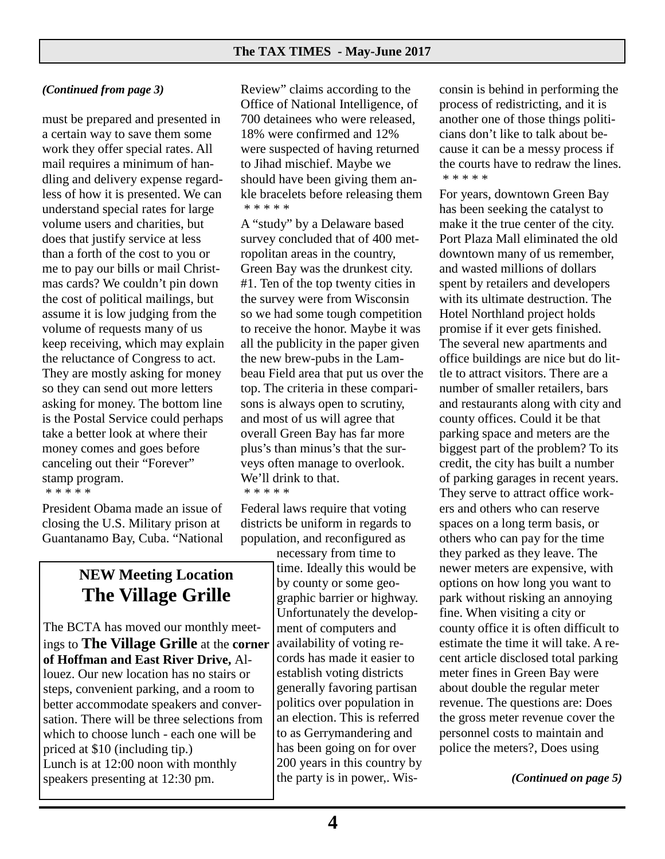## *(Continued from page 3)*

must be prepared and presented in a certain way to save them some work they offer special rates. All mail requires a minimum of handling and delivery expense regardless of how it is presented. We can understand special rates for large volume users and charities, but does that justify service at less than a forth of the cost to you or me to pay our bills or mail Christmas cards? We couldn't pin down the cost of political mailings, but assume it is low judging from the volume of requests many of us keep receiving, which may explain the reluctance of Congress to act. They are mostly asking for money so they can send out more letters asking for money. The bottom line is the Postal Service could perhaps take a better look at where their money comes and goes before canceling out their "Forever" stamp program.

\* \* \* \* \*

President Obama made an issue of closing the U.S. Military prison at Guantanamo Bay, Cuba. "National

## **NEW Meeting Location The Village Grille**

The BCTA has moved our monthly meetings to **The Village Grille** at the **corner of Hoffman and East River Drive,** Allouez. Our new location has no stairs or steps, convenient parking, and a room to better accommodate speakers and conversation. There will be three selections from which to choose lunch - each one will be priced at \$10 (including tip.) Lunch is at 12:00 noon with monthly speakers presenting at 12:30 pm.

Review" claims according to the Office of National Intelligence, of 700 detainees who were released, 18% were confirmed and 12% were suspected of having returned to Jihad mischief. Maybe we should have been giving them ankle bracelets before releasing them \* \* \* \* \*

A "study" by a Delaware based survey concluded that of 400 metropolitan areas in the country, Green Bay was the drunkest city. #1. Ten of the top twenty cities in the survey were from Wisconsin so we had some tough competition to receive the honor. Maybe it was all the publicity in the paper given the new brew-pubs in the Lambeau Field area that put us over the top. The criteria in these comparisons is always open to scrutiny, and most of us will agree that overall Green Bay has far more plus's than minus's that the surveys often manage to overlook. We'll drink to that. \* \* \* \* \*

Federal laws require that voting districts be uniform in regards to population, and reconfigured as

necessary from time to time. Ideally this would be by county or some geographic barrier or highway. Unfortunately the development of computers and availability of voting records has made it easier to establish voting districts generally favoring partisan politics over population in an election. This is referred to as Gerrymandering and has been going on for over 200 years in this country by the party is in power,. Wisconsin is behind in performing the process of redistricting, and it is another one of those things politicians don't like to talk about because it can be a messy process if the courts have to redraw the lines. \* \* \* \* \*

For years, downtown Green Bay has been seeking the catalyst to make it the true center of the city. Port Plaza Mall eliminated the old downtown many of us remember, and wasted millions of dollars spent by retailers and developers with its ultimate destruction. The Hotel Northland project holds promise if it ever gets finished. The several new apartments and office buildings are nice but do little to attract visitors. There are a number of smaller retailers, bars and restaurants along with city and county offices. Could it be that parking space and meters are the biggest part of the problem? To its credit, the city has built a number of parking garages in recent years. They serve to attract office workers and others who can reserve spaces on a long term basis, or others who can pay for the time they parked as they leave. The newer meters are expensive, with options on how long you want to park without risking an annoying fine. When visiting a city or county office it is often difficult to estimate the time it will take. A recent article disclosed total parking meter fines in Green Bay were about double the regular meter revenue. The questions are: Does the gross meter revenue cover the personnel costs to maintain and police the meters?, Does using

*(Continued on page 5)*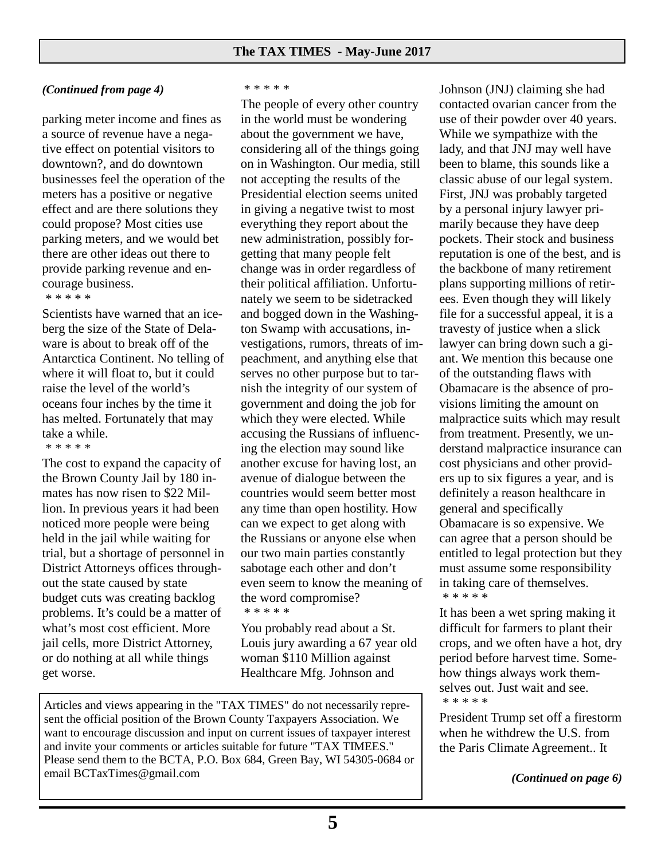## *(Continued from page 4)*

parking meter income and fines as a source of revenue have a negative effect on potential visitors to downtown?, and do downtown businesses feel the operation of the meters has a positive or negative effect and are there solutions they could propose? Most cities use parking meters, and we would bet there are other ideas out there to provide parking revenue and encourage business.

\* \* \* \* \*

Scientists have warned that an iceberg the size of the State of Delaware is about to break off of the Antarctica Continent. No telling of where it will float to, but it could raise the level of the world's oceans four inches by the time it has melted. Fortunately that may take a while.

\* \* \* \* \*

The cost to expand the capacity of the Brown County Jail by 180 inmates has now risen to \$22 Million. In previous years it had been noticed more people were being held in the jail while waiting for trial, but a shortage of personnel in District Attorneys offices throughout the state caused by state budget cuts was creating backlog problems. It's could be a matter of what's most cost efficient. More jail cells, more District Attorney, or do nothing at all while things get worse.

### \* \* \* \* \*

The people of every other country in the world must be wondering about the government we have, considering all of the things going on in Washington. Our media, still not accepting the results of the Presidential election seems united in giving a negative twist to most everything they report about the new administration, possibly forgetting that many people felt change was in order regardless of their political affiliation. Unfortunately we seem to be sidetracked and bogged down in the Washington Swamp with accusations, investigations, rumors, threats of impeachment, and anything else that serves no other purpose but to tarnish the integrity of our system of government and doing the job for which they were elected. While accusing the Russians of influencing the election may sound like another excuse for having lost, an avenue of dialogue between the countries would seem better most any time than open hostility. How can we expect to get along with the Russians or anyone else when our two main parties constantly sabotage each other and don't even seem to know the meaning of the word compromise? \* \* \* \* \*

You probably read about a St. Louis jury awarding a 67 year old woman \$110 Million against Healthcare Mfg. Johnson and

Articles and views appearing in the "TAX TIMES" do not necessarily represent the official position of the Brown County Taxpayers Association. We want to encourage discussion and input on current issues of taxpayer interest and invite your comments or articles suitable for future "TAX TIMEES." Please send them to the BCTA, P.O. Box 684, Green Bay, WI 54305-0684 or email BCTaxTimes@gmail.com

Johnson (JNJ) claiming she had contacted ovarian cancer from the use of their powder over 40 years. While we sympathize with the lady, and that JNJ may well have been to blame, this sounds like a classic abuse of our legal system. First, JNJ was probably targeted by a personal injury lawyer primarily because they have deep pockets. Their stock and business reputation is one of the best, and is the backbone of many retirement plans supporting millions of retirees. Even though they will likely file for a successful appeal, it is a travesty of justice when a slick lawyer can bring down such a giant. We mention this because one of the outstanding flaws with Obamacare is the absence of provisions limiting the amount on malpractice suits which may result from treatment. Presently, we understand malpractice insurance can cost physicians and other providers up to six figures a year, and is definitely a reason healthcare in general and specifically Obamacare is so expensive. We can agree that a person should be entitled to legal protection but they must assume some responsibility in taking care of themselves. \* \* \* \* \*

It has been a wet spring making it difficult for farmers to plant their crops, and we often have a hot, dry period before harvest time. Somehow things always work themselves out. Just wait and see. \* \* \* \* \*

President Trump set off a firestorm when he withdrew the U.S. from the Paris Climate Agreement.. It

*(Continued on page 6)*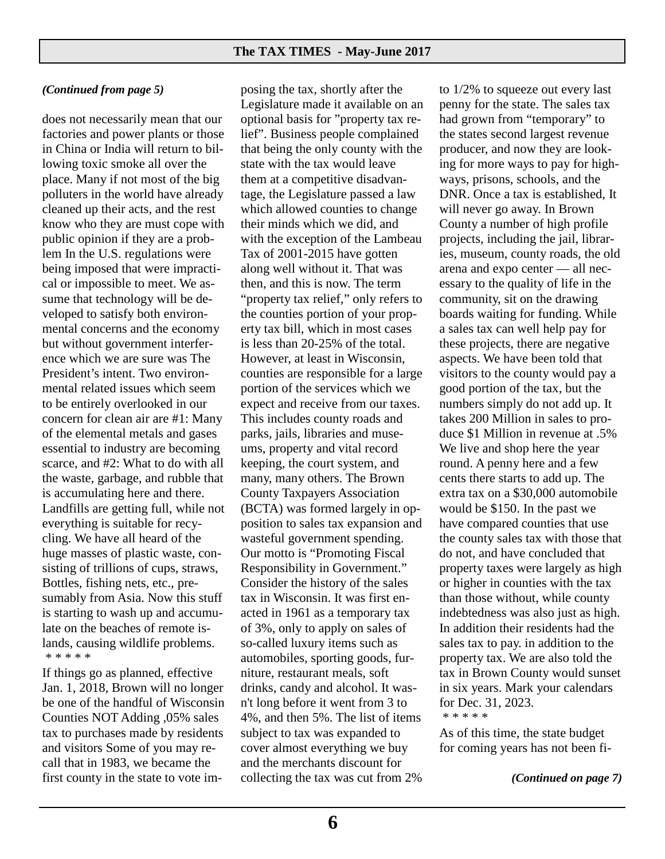## *(Continued from page 5)*

does not necessarily mean that our factories and power plants or those in China or India will return to billowing toxic smoke all over the place. Many if not most of the big polluters in the world have already cleaned up their acts, and the rest know who they are must cope with public opinion if they are a problem In the U.S. regulations were being imposed that were impractical or impossible to meet. We assume that technology will be developed to satisfy both environmental concerns and the economy but without government interference which we are sure was The President's intent. Two environmental related issues which seem to be entirely overlooked in our concern for clean air are #1: Many of the elemental metals and gases essential to industry are becoming scarce, and #2: What to do with all the waste, garbage, and rubble that is accumulating here and there. Landfills are getting full, while not everything is suitable for recycling. We have all heard of the huge masses of plastic waste, consisting of trillions of cups, straws, Bottles, fishing nets, etc., presumably from Asia. Now this stuff is starting to wash up and accumulate on the beaches of remote islands, causing wildlife problems. \* \* \* \* \*

If things go as planned, effective Jan. 1, 2018, Brown will no longer be one of the handful of Wisconsin Counties NOT Adding ,05% sales tax to purchases made by residents and visitors Some of you may recall that in 1983, we became the first county in the state to vote im-

posing the tax, shortly after the Legislature made it available on an optional basis for "property tax relief". Business people complained that being the only county with the state with the tax would leave them at a competitive disadvantage, the Legislature passed a law which allowed counties to change their minds which we did, and with the exception of the Lambeau Tax of 2001-2015 have gotten along well without it. That was then, and this is now. The term "property tax relief," only refers to the counties portion of your property tax bill, which in most cases is less than 20-25% of the total. However, at least in Wisconsin, counties are responsible for a large portion of the services which we expect and receive from our taxes. This includes county roads and parks, jails, libraries and museums, property and vital record keeping, the court system, and many, many others. The Brown County Taxpayers Association (BCTA) was formed largely in opposition to sales tax expansion and wasteful government spending. Our motto is "Promoting Fiscal Responsibility in Government." Consider the history of the sales tax in Wisconsin. It was first enacted in 1961 as a temporary tax of 3%, only to apply on sales of so-called luxury items such as automobiles, sporting goods, furniture, restaurant meals, soft drinks, candy and alcohol. It wasn't long before it went from 3 to 4%, and then 5%. The list of items subject to tax was expanded to cover almost everything we buy and the merchants discount for collecting the tax was cut from 2%

to 1/2% to squeeze out every last penny for the state. The sales tax had grown from "temporary" to the states second largest revenue producer, and now they are looking for more ways to pay for highways, prisons, schools, and the DNR. Once a tax is established, It will never go away. In Brown County a number of high profile projects, including the jail, libraries, museum, county roads, the old arena and expo center — all necessary to the quality of life in the community, sit on the drawing boards waiting for funding. While a sales tax can well help pay for these projects, there are negative aspects. We have been told that visitors to the county would pay a good portion of the tax, but the numbers simply do not add up. It takes 200 Million in sales to produce \$1 Million in revenue at .5% We live and shop here the year round. A penny here and a few cents there starts to add up. The extra tax on a \$30,000 automobile would be \$150. In the past we have compared counties that use the county sales tax with those that do not, and have concluded that property taxes were largely as high or higher in counties with the tax than those without, while county indebtedness was also just as high. In addition their residents had the sales tax to pay. in addition to the property tax. We are also told the tax in Brown County would sunset in six years. Mark your calendars for Dec. 31, 2023.

\* \* \* \* \*

As of this time, the state budget for coming years has not been fi-

*(Continued on page 7)*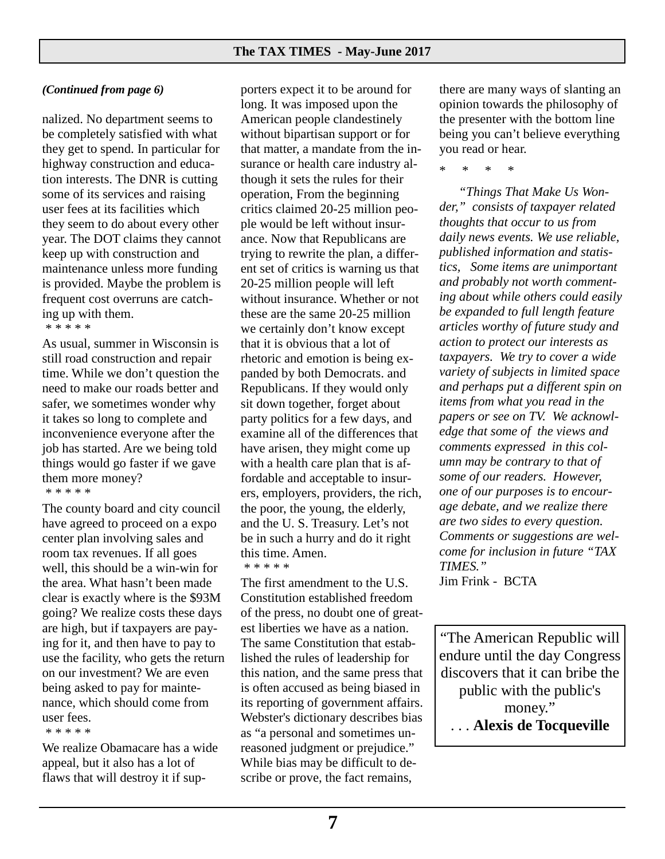## *(Continued from page 6)*

nalized. No department seems to be completely satisfied with what they get to spend. In particular for highway construction and education interests. The DNR is cutting some of its services and raising user fees at its facilities which they seem to do about every other year. The DOT claims they cannot keep up with construction and maintenance unless more funding is provided. Maybe the problem is frequent cost overruns are catching up with them.

\* \* \* \* \*

As usual, summer in Wisconsin is still road construction and repair time. While we don't question the need to make our roads better and safer, we sometimes wonder why it takes so long to complete and inconvenience everyone after the job has started. Are we being told things would go faster if we gave them more money? \* \* \* \* \*

The county board and city council have agreed to proceed on a expo center plan involving sales and room tax revenues. If all goes well, this should be a win-win for the area. What hasn't been made clear is exactly where is the \$93M going? We realize costs these days are high, but if taxpayers are paying for it, and then have to pay to use the facility, who gets the return on our investment? We are even being asked to pay for maintenance, which should come from user fees.

#### \* \* \* \* \*

We realize Obamacare has a wide appeal, but it also has a lot of flaws that will destroy it if sup-

porters expect it to be around for long. It was imposed upon the American people clandestinely without bipartisan support or for that matter, a mandate from the insurance or health care industry although it sets the rules for their operation, From the beginning critics claimed 20-25 million people would be left without insurance. Now that Republicans are trying to rewrite the plan, a different set of critics is warning us that 20-25 million people will left without insurance. Whether or not these are the same 20-25 million we certainly don't know except that it is obvious that a lot of rhetoric and emotion is being expanded by both Democrats. and Republicans. If they would only sit down together, forget about party politics for a few days, and examine all of the differences that have arisen, they might come up with a health care plan that is affordable and acceptable to insurers, employers, providers, the rich, the poor, the young, the elderly, and the U. S. Treasury. Let's not be in such a hurry and do it right this time. Amen.

\* \* \* \* \*

The first amendment to the U.S. Constitution established freedom of the press, no doubt one of greatest liberties we have as a nation. The same Constitution that established the rules of leadership for this nation, and the same press that is often accused as being biased in its reporting of government affairs. Webster's dictionary describes bias as "a personal and sometimes unreasoned judgment or prejudice." While bias may be difficult to describe or prove, the fact remains,

there are many ways of slanting an opinion towards the philosophy of the presenter with the bottom line being you can't believe everything you read or hear.

\* \* \* \*

 *"Things That Make Us Wonder," consists of taxpayer related thoughts that occur to us from daily news events. We use reliable, published information and statistics, Some items are unimportant and probably not worth commenting about while others could easily be expanded to full length feature articles worthy of future study and action to protect our interests as taxpayers. We try to cover a wide variety of subjects in limited space and perhaps put a different spin on items from what you read in the papers or see on TV. We acknowledge that some of the views and comments expressed in this column may be contrary to that of some of our readers. However, one of our purposes is to encourage debate, and we realize there are two sides to every question. Comments or suggestions are welcome for inclusion in future "TAX TIMES."*  Jim Frink - BCTA

"The American Republic will endure until the day Congress discovers that it can bribe the public with the public's money." . . . **Alexis de Tocqueville**